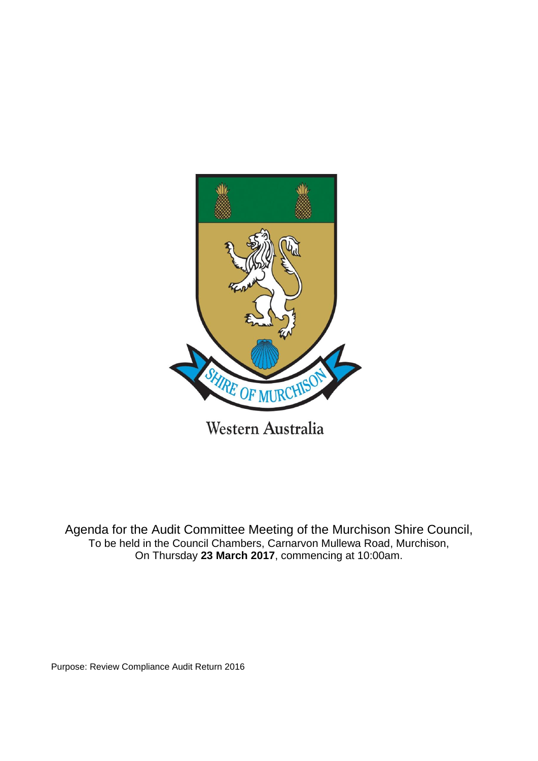

Agenda for the Audit Committee Meeting of the Murchison Shire Council,

To be held in the Council Chambers, Carnarvon Mullewa Road, Murchison, On Thursday **23 March 2017**, commencing at 10:00am.

Purpose: Review Compliance Audit Return 2016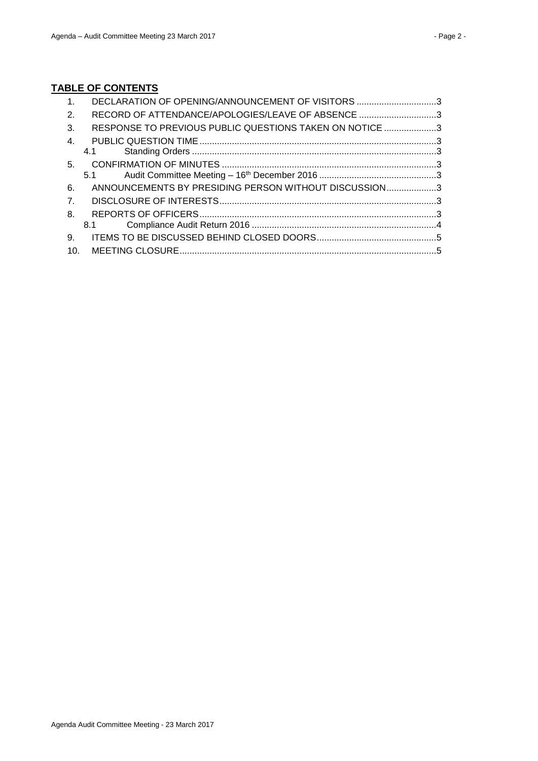# **TABLE OF CONTENTS**

| RECORD OF ATTENDANCE/APOLOGIES/LEAVE OF ABSENCE 3       |
|---------------------------------------------------------|
|                                                         |
| RESPONSE TO PREVIOUS PUBLIC QUESTIONS TAKEN ON NOTICE 3 |
|                                                         |
|                                                         |
|                                                         |
|                                                         |
| ANNOUNCEMENTS BY PRESIDING PERSON WITHOUT DISCUSSION3   |
|                                                         |
|                                                         |
|                                                         |
|                                                         |
|                                                         |
|                                                         |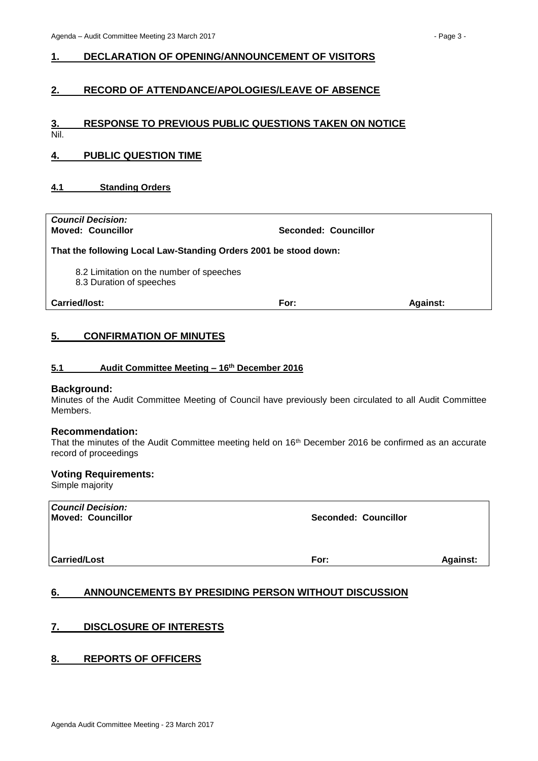#### <span id="page-2-0"></span>**1. DECLARATION OF OPENING/ANNOUNCEMENT OF VISITORS**

## <span id="page-2-1"></span>**2. RECORD OF ATTENDANCE/APOLOGIES/LEAVE OF ABSENCE**

## <span id="page-2-2"></span>**3. RESPONSE TO PREVIOUS PUBLIC QUESTIONS TAKEN ON NOTICE**

Nil.

## <span id="page-2-3"></span>**4. PUBLIC QUESTION TIME**

#### <span id="page-2-4"></span>**4.1 Standing Orders**

| <b>Council Decision:</b><br><b>Moved: Councillor</b>                 | Seconded: Councillor |                 |  |  |  |
|----------------------------------------------------------------------|----------------------|-----------------|--|--|--|
| That the following Local Law-Standing Orders 2001 be stood down:     |                      |                 |  |  |  |
| 8.2 Limitation on the number of speeches<br>8.3 Duration of speeches |                      |                 |  |  |  |
| Carried/lost:                                                        | For:                 | <b>Against:</b> |  |  |  |
|                                                                      |                      |                 |  |  |  |

## <span id="page-2-5"></span>**5. CONFIRMATION OF MINUTES**

#### <span id="page-2-6"></span>**5.1 Audit Committee Meeting – 16th December 2016**

#### **Background:**

Minutes of the Audit Committee Meeting of Council have previously been circulated to all Audit Committee Members.

#### **Recommendation:**

That the minutes of the Audit Committee meeting held on 16<sup>th</sup> December 2016 be confirmed as an accurate record of proceedings

## **Voting Requirements:**

Simple majority

| <b>Council Decision:</b> |                             |
|--------------------------|-----------------------------|
| <b>Moved: Councillor</b> | <b>Seconded: Councillor</b> |
|                          |                             |
|                          |                             |
|                          |                             |

**Carried/Lost For: Against:**

## <span id="page-2-7"></span>**6. ANNOUNCEMENTS BY PRESIDING PERSON WITHOUT DISCUSSION**

#### <span id="page-2-8"></span>**7. DISCLOSURE OF INTERESTS**

#### <span id="page-2-9"></span>**8. REPORTS OF OFFICERS**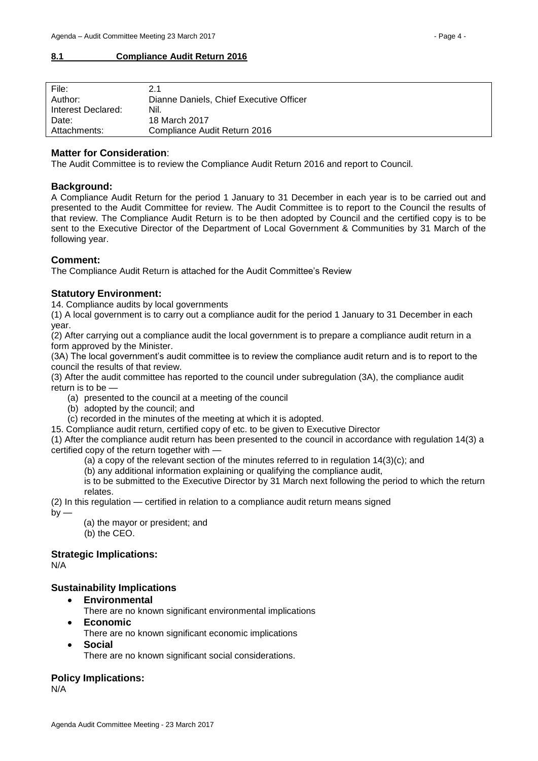#### <span id="page-3-0"></span>**8.1 Compliance Audit Return 2016**

| File:              | 2.1                                     |
|--------------------|-----------------------------------------|
| Author:            | Dianne Daniels, Chief Executive Officer |
| Interest Declared: | Nil.                                    |
| Date:              | 18 March 2017                           |
| Attachments:       | Compliance Audit Return 2016            |

## **Matter for Consideration**:

The Audit Committee is to review the Compliance Audit Return 2016 and report to Council.

#### **Background:**

A Compliance Audit Return for the period 1 January to 31 December in each year is to be carried out and presented to the Audit Committee for review. The Audit Committee is to report to the Council the results of that review. The Compliance Audit Return is to be then adopted by Council and the certified copy is to be sent to the Executive Director of the Department of Local Government & Communities by 31 March of the following year.

#### **Comment:**

The Compliance Audit Return is attached for the Audit Committee's Review

#### **Statutory Environment:**

14. Compliance audits by local governments

(1) A local government is to carry out a compliance audit for the period 1 January to 31 December in each year.

(2) After carrying out a compliance audit the local government is to prepare a compliance audit return in a form approved by the Minister.

(3A) The local government's audit committee is to review the compliance audit return and is to report to the council the results of that review.

(3) After the audit committee has reported to the council under subregulation (3A), the compliance audit return is to be —

- (a) presented to the council at a meeting of the council
- (b) adopted by the council; and

(c) recorded in the minutes of the meeting at which it is adopted.

15. Compliance audit return, certified copy of etc. to be given to Executive Director

(1) After the compliance audit return has been presented to the council in accordance with regulation 14(3) a certified copy of the return together with —

(a) a copy of the relevant section of the minutes referred to in regulation 14(3)(c); and

(b) any additional information explaining or qualifying the compliance audit,

is to be submitted to the Executive Director by 31 March next following the period to which the return relates.

(2) In this regulation — certified in relation to a compliance audit return means signed

 $by -$ 

(a) the mayor or president; and (b) the CEO.

**Strategic Implications:**

N/A

#### **Sustainability Implications**

- **Environmental**
	- There are no known significant environmental implications
- **Economic**

There are no known significant economic implications

**Social**

There are no known significant social considerations.

#### **Policy Implications:**

N/A